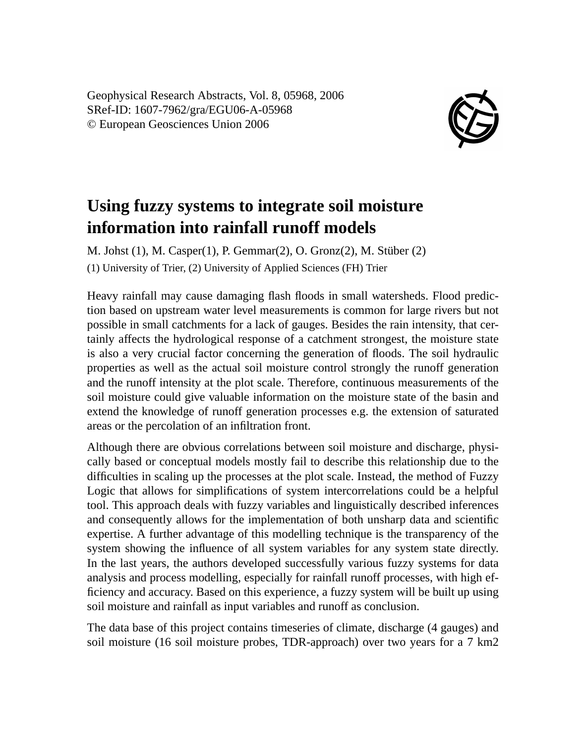Geophysical Research Abstracts, Vol. 8, 05968, 2006 SRef-ID: 1607-7962/gra/EGU06-A-05968 © European Geosciences Union 2006



## **Using fuzzy systems to integrate soil moisture information into rainfall runoff models**

M. Johst (1), M. Casper(1), P. Gemmar(2), O. Gronz(2), M. Stüber (2) (1) University of Trier, (2) University of Applied Sciences (FH) Trier

Heavy rainfall may cause damaging flash floods in small watersheds. Flood prediction based on upstream water level measurements is common for large rivers but not possible in small catchments for a lack of gauges. Besides the rain intensity, that certainly affects the hydrological response of a catchment strongest, the moisture state is also a very crucial factor concerning the generation of floods. The soil hydraulic properties as well as the actual soil moisture control strongly the runoff generation and the runoff intensity at the plot scale. Therefore, continuous measurements of the soil moisture could give valuable information on the moisture state of the basin and extend the knowledge of runoff generation processes e.g. the extension of saturated areas or the percolation of an infiltration front.

Although there are obvious correlations between soil moisture and discharge, physically based or conceptual models mostly fail to describe this relationship due to the difficulties in scaling up the processes at the plot scale. Instead, the method of Fuzzy Logic that allows for simplifications of system intercorrelations could be a helpful tool. This approach deals with fuzzy variables and linguistically described inferences and consequently allows for the implementation of both unsharp data and scientific expertise. A further advantage of this modelling technique is the transparency of the system showing the influence of all system variables for any system state directly. In the last years, the authors developed successfully various fuzzy systems for data analysis and process modelling, especially for rainfall runoff processes, with high efficiency and accuracy. Based on this experience, a fuzzy system will be built up using soil moisture and rainfall as input variables and runoff as conclusion.

The data base of this project contains timeseries of climate, discharge (4 gauges) and soil moisture (16 soil moisture probes, TDR-approach) over two years for a 7 km2